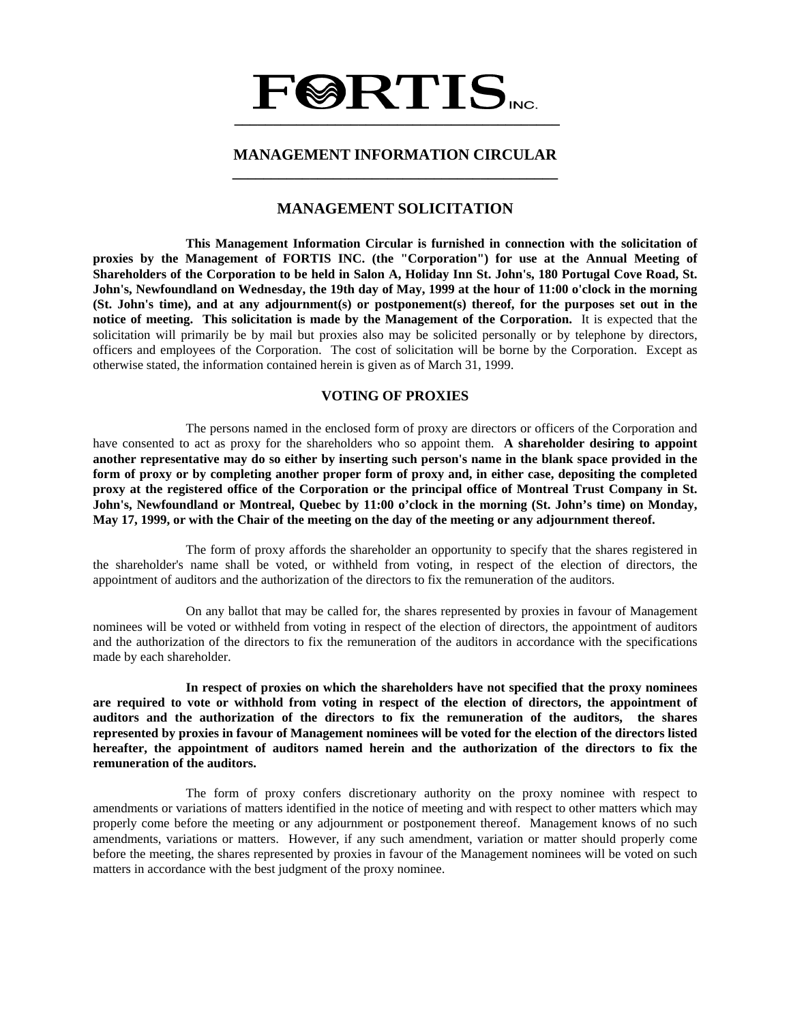# **FØRTIS \_\_\_\_\_\_\_\_\_\_\_\_\_\_\_\_\_\_\_\_\_\_\_\_\_\_\_\_\_\_\_\_\_\_\_\_\_\_\_\_\_\_**

# **MANAGEMENT INFORMATION CIRCULAR \_\_\_\_\_\_\_\_\_\_\_\_\_\_\_\_\_\_\_\_\_\_\_\_\_\_\_\_\_\_\_\_\_\_\_\_\_\_\_\_\_\_**

# **MANAGEMENT SOLICITATION**

 **This Management Information Circular is furnished in connection with the solicitation of proxies by the Management of FORTIS INC. (the "Corporation") for use at the Annual Meeting of Shareholders of the Corporation to be held in Salon A, Holiday Inn St. John's, 180 Portugal Cove Road, St. John's, Newfoundland on Wednesday, the 19th day of May, 1999 at the hour of 11:00 o'clock in the morning (St. John's time), and at any adjournment(s) or postponement(s) thereof, for the purposes set out in the notice of meeting. This solicitation is made by the Management of the Corporation.** It is expected that the solicitation will primarily be by mail but proxies also may be solicited personally or by telephone by directors, officers and employees of the Corporation. The cost of solicitation will be borne by the Corporation. Except as otherwise stated, the information contained herein is given as of March 31, 1999.

## **VOTING OF PROXIES**

 The persons named in the enclosed form of proxy are directors or officers of the Corporation and have consented to act as proxy for the shareholders who so appoint them. **A shareholder desiring to appoint another representative may do so either by inserting such person's name in the blank space provided in the form of proxy or by completing another proper form of proxy and, in either case, depositing the completed proxy at the registered office of the Corporation or the principal office of Montreal Trust Company in St. John's, Newfoundland or Montreal, Quebec by 11:00 o'clock in the morning (St. John's time) on Monday, May 17, 1999, or with the Chair of the meeting on the day of the meeting or any adjournment thereof.**

 The form of proxy affords the shareholder an opportunity to specify that the shares registered in the shareholder's name shall be voted, or withheld from voting, in respect of the election of directors, the appointment of auditors and the authorization of the directors to fix the remuneration of the auditors.

 On any ballot that may be called for, the shares represented by proxies in favour of Management nominees will be voted or withheld from voting in respect of the election of directors, the appointment of auditors and the authorization of the directors to fix the remuneration of the auditors in accordance with the specifications made by each shareholder.

 **In respect of proxies on which the shareholders have not specified that the proxy nominees are required to vote or withhold from voting in respect of the election of directors, the appointment of auditors and the authorization of the directors to fix the remuneration of the auditors, the shares represented by proxies in favour of Management nominees will be voted for the election of the directors listed hereafter, the appointment of auditors named herein and the authorization of the directors to fix the remuneration of the auditors.** 

 The form of proxy confers discretionary authority on the proxy nominee with respect to amendments or variations of matters identified in the notice of meeting and with respect to other matters which may properly come before the meeting or any adjournment or postponement thereof. Management knows of no such amendments, variations or matters. However, if any such amendment, variation or matter should properly come before the meeting, the shares represented by proxies in favour of the Management nominees will be voted on such matters in accordance with the best judgment of the proxy nominee.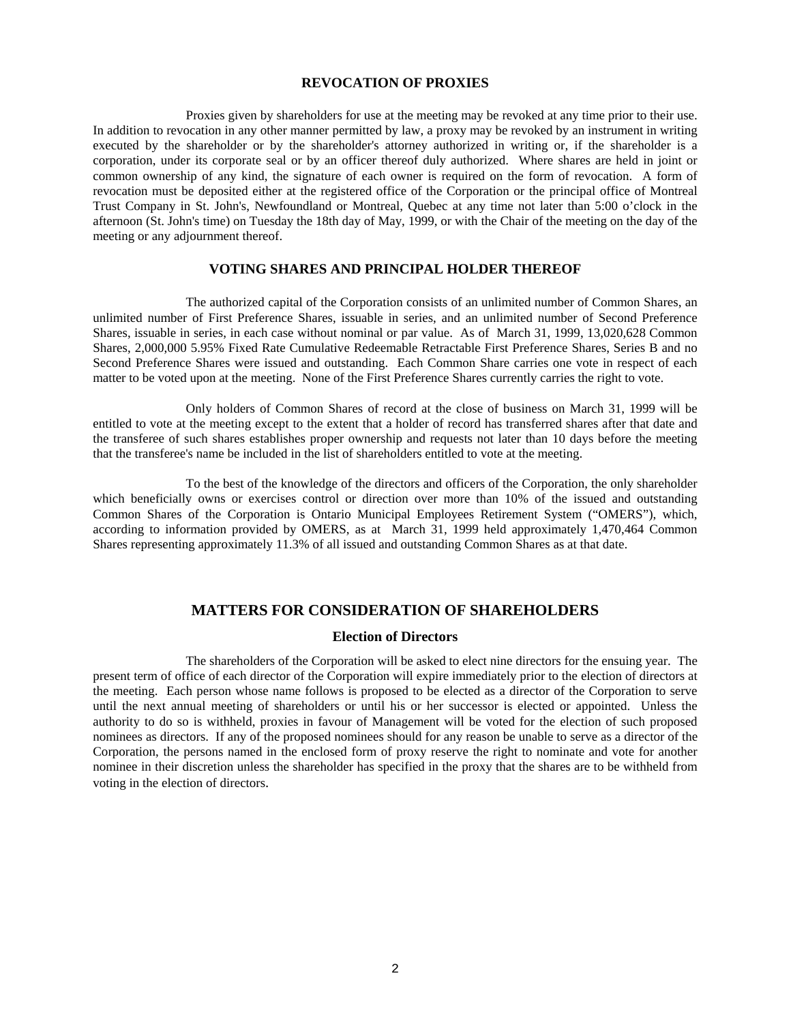#### **REVOCATION OF PROXIES**

 Proxies given by shareholders for use at the meeting may be revoked at any time prior to their use. In addition to revocation in any other manner permitted by law, a proxy may be revoked by an instrument in writing executed by the shareholder or by the shareholder's attorney authorized in writing or, if the shareholder is a corporation, under its corporate seal or by an officer thereof duly authorized. Where shares are held in joint or common ownership of any kind, the signature of each owner is required on the form of revocation. A form of revocation must be deposited either at the registered office of the Corporation or the principal office of Montreal Trust Company in St. John's, Newfoundland or Montreal, Quebec at any time not later than 5:00 o'clock in the afternoon (St. John's time) on Tuesday the 18th day of May, 1999, or with the Chair of the meeting on the day of the meeting or any adjournment thereof.

#### **VOTING SHARES AND PRINCIPAL HOLDER THEREOF**

 The authorized capital of the Corporation consists of an unlimited number of Common Shares, an unlimited number of First Preference Shares, issuable in series, and an unlimited number of Second Preference Shares, issuable in series, in each case without nominal or par value. As of March 31, 1999, 13,020,628 Common Shares, 2,000,000 5.95% Fixed Rate Cumulative Redeemable Retractable First Preference Shares, Series B and no Second Preference Shares were issued and outstanding. Each Common Share carries one vote in respect of each matter to be voted upon at the meeting. None of the First Preference Shares currently carries the right to vote.

 Only holders of Common Shares of record at the close of business on March 31, 1999 will be entitled to vote at the meeting except to the extent that a holder of record has transferred shares after that date and the transferee of such shares establishes proper ownership and requests not later than 10 days before the meeting that the transferee's name be included in the list of shareholders entitled to vote at the meeting.

 To the best of the knowledge of the directors and officers of the Corporation, the only shareholder which beneficially owns or exercises control or direction over more than 10% of the issued and outstanding Common Shares of the Corporation is Ontario Municipal Employees Retirement System ("OMERS"), which, according to information provided by OMERS, as at March 31, 1999 held approximately 1,470,464 Common Shares representing approximately 11.3% of all issued and outstanding Common Shares as at that date.

# **MATTERS FOR CONSIDERATION OF SHAREHOLDERS**

#### **Election of Directors**

 The shareholders of the Corporation will be asked to elect nine directors for the ensuing year. The present term of office of each director of the Corporation will expire immediately prior to the election of directors at the meeting. Each person whose name follows is proposed to be elected as a director of the Corporation to serve until the next annual meeting of shareholders or until his or her successor is elected or appointed. Unless the authority to do so is withheld, proxies in favour of Management will be voted for the election of such proposed nominees as directors. If any of the proposed nominees should for any reason be unable to serve as a director of the Corporation, the persons named in the enclosed form of proxy reserve the right to nominate and vote for another nominee in their discretion unless the shareholder has specified in the proxy that the shares are to be withheld from voting in the election of directors.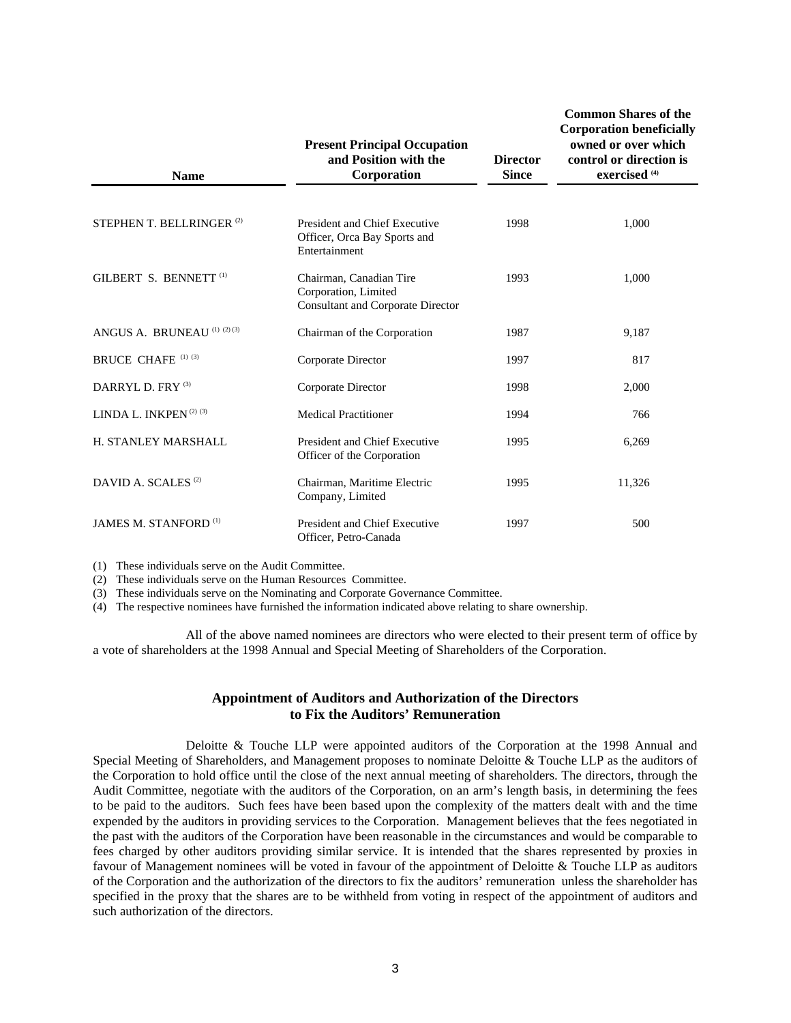| <b>Name</b>                             | <b>Present Principal Occupation</b><br>and Position with the<br>Corporation                 | <b>Director</b><br><b>Since</b> | <b>Common Shares of the</b><br><b>Corporation beneficially</b><br>owned or over which<br>control or direction is<br>exercised <sup>(4)</sup> |  |  |
|-----------------------------------------|---------------------------------------------------------------------------------------------|---------------------------------|----------------------------------------------------------------------------------------------------------------------------------------------|--|--|
|                                         |                                                                                             |                                 |                                                                                                                                              |  |  |
| STEPHEN T. BELLRINGER <sup>(2)</sup>    | President and Chief Executive<br>Officer, Orca Bay Sports and<br>Entertainment              | 1998                            | 1,000                                                                                                                                        |  |  |
| GILBERT S. BENNETT <sup>(1)</sup>       | Chairman, Canadian Tire<br>Corporation, Limited<br><b>Consultant and Corporate Director</b> | 1993                            | 1,000                                                                                                                                        |  |  |
| ANGUS A. BRUNEAU (1) (2) (3)            | Chairman of the Corporation                                                                 | 1987                            | 9,187                                                                                                                                        |  |  |
| <b>BRUCE CHAFE (1) (3)</b>              | Corporate Director                                                                          | 1997                            | 817                                                                                                                                          |  |  |
| DARRYL D. FRY <sup>(3)</sup>            | Corporate Director                                                                          | 1998                            | 2,000                                                                                                                                        |  |  |
| LINDA L. INKPEN <sup>(2)(3)</sup>       | <b>Medical Practitioner</b>                                                                 | 1994                            | 766                                                                                                                                          |  |  |
| H. STANLEY MARSHALL                     | President and Chief Executive<br>Officer of the Corporation                                 | 1995                            | 6,269                                                                                                                                        |  |  |
| DAVID A. SCALES <sup>(2)</sup>          | Chairman, Maritime Electric<br>Company, Limited                                             | 1995                            | 11,326                                                                                                                                       |  |  |
| <b>JAMES M. STANFORD</b> <sup>(1)</sup> | President and Chief Executive<br>Officer, Petro-Canada                                      | 1997                            | 500                                                                                                                                          |  |  |

(1) These individuals serve on the Audit Committee.

(2) These individuals serve on the Human Resources Committee.

(3) These individuals serve on the Nominating and Corporate Governance Committee.

(4) The respective nominees have furnished the information indicated above relating to share ownership.

 All of the above named nominees are directors who were elected to their present term of office by a vote of shareholders at the 1998 Annual and Special Meeting of Shareholders of the Corporation.

# **Appointment of Auditors and Authorization of the Directors to Fix the Auditors' Remuneration**

 Deloitte & Touche LLP were appointed auditors of the Corporation at the 1998 Annual and Special Meeting of Shareholders, and Management proposes to nominate Deloitte & Touche LLP as the auditors of the Corporation to hold office until the close of the next annual meeting of shareholders. The directors, through the Audit Committee, negotiate with the auditors of the Corporation, on an arm's length basis, in determining the fees to be paid to the auditors. Such fees have been based upon the complexity of the matters dealt with and the time expended by the auditors in providing services to the Corporation. Management believes that the fees negotiated in the past with the auditors of the Corporation have been reasonable in the circumstances and would be comparable to fees charged by other auditors providing similar service. It is intended that the shares represented by proxies in favour of Management nominees will be voted in favour of the appointment of Deloitte & Touche LLP as auditors of the Corporation and the authorization of the directors to fix the auditors' remuneration unless the shareholder has specified in the proxy that the shares are to be withheld from voting in respect of the appointment of auditors and such authorization of the directors.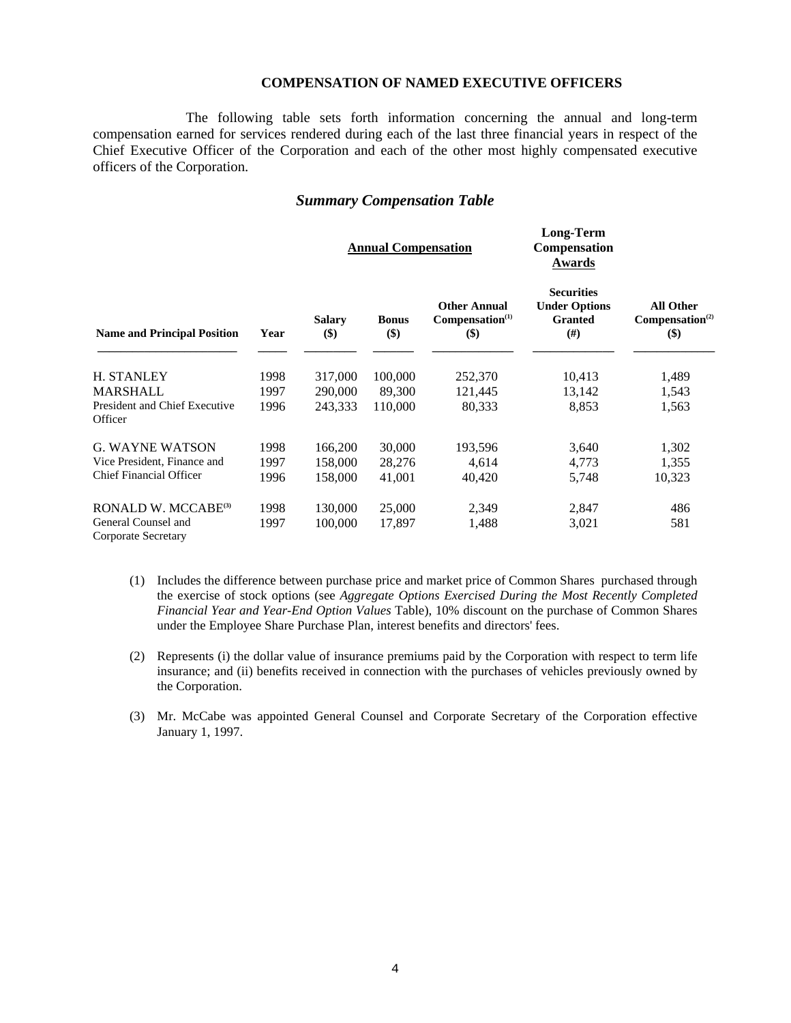## **COMPENSATION OF NAMED EXECUTIVE OFFICERS**

**Long-Term** 

 The following table sets forth information concerning the annual and long-term compensation earned for services rendered during each of the last three financial years in respect of the Chief Executive Officer of the Corporation and each of the other most highly compensated executive officers of the Corporation.

# *Summary Compensation Table*

|                                                   | <b>Annual Compensation</b> |                          |                     |                                                           | Long-refili<br><b>Compensation</b><br>Awards                          |                                                 |  |
|---------------------------------------------------|----------------------------|--------------------------|---------------------|-----------------------------------------------------------|-----------------------------------------------------------------------|-------------------------------------------------|--|
| <b>Name and Principal Position</b>                | Year                       | <b>Salary</b><br>$($ \$) | <b>Bonus</b><br>\$) | <b>Other Annual</b><br>Compensation <sup>(1)</sup><br>\$) | <b>Securities</b><br><b>Under Options</b><br><b>Granted</b><br>$(\#)$ | All Other<br>Compensation <sup>(2)</sup><br>\$) |  |
| <b>H. STANLEY</b>                                 | 1998                       | 317,000                  | 100,000             | 252,370                                                   | 10,413                                                                | 1,489                                           |  |
| MARSHALL                                          | 1997                       | 290,000                  | 89,300              | 121,445                                                   | 13,142                                                                | 1,543                                           |  |
| President and Chief Executive<br>Officer          | 1996                       | 243,333                  | 110,000             | 80,333                                                    | 8,853                                                                 | 1,563                                           |  |
| <b>G. WAYNE WATSON</b>                            | 1998                       | 166,200                  | 30,000              | 193,596                                                   | 3,640                                                                 | 1,302                                           |  |
| Vice President, Finance and                       | 1997                       | 158,000                  | 28,276              | 4,614                                                     | 4,773                                                                 | 1,355                                           |  |
| <b>Chief Financial Officer</b>                    | 1996                       | 158,000                  | 41,001              | 40,420                                                    | 5,748                                                                 | 10,323                                          |  |
| RONALD W. MCCABE <sup>(3)</sup>                   | 1998                       | 130,000                  | 25,000              | 2,349                                                     | 2,847                                                                 | 486                                             |  |
| General Counsel and<br><b>Corporate Secretary</b> | 1997                       | 100,000                  | 17,897              | 1,488                                                     | 3,021                                                                 | 581                                             |  |

- (1) Includes the difference between purchase price and market price of Common Shares purchased through the exercise of stock options (see *Aggregate Options Exercised During the Most Recently Completed Financial Year and Year-End Option Values* Table), 10% discount on the purchase of Common Shares under the Employee Share Purchase Plan, interest benefits and directors' fees.
- (2) Represents (i) the dollar value of insurance premiums paid by the Corporation with respect to term life insurance; and (ii) benefits received in connection with the purchases of vehicles previously owned by the Corporation.
- (3) Mr. McCabe was appointed General Counsel and Corporate Secretary of the Corporation effective January 1, 1997.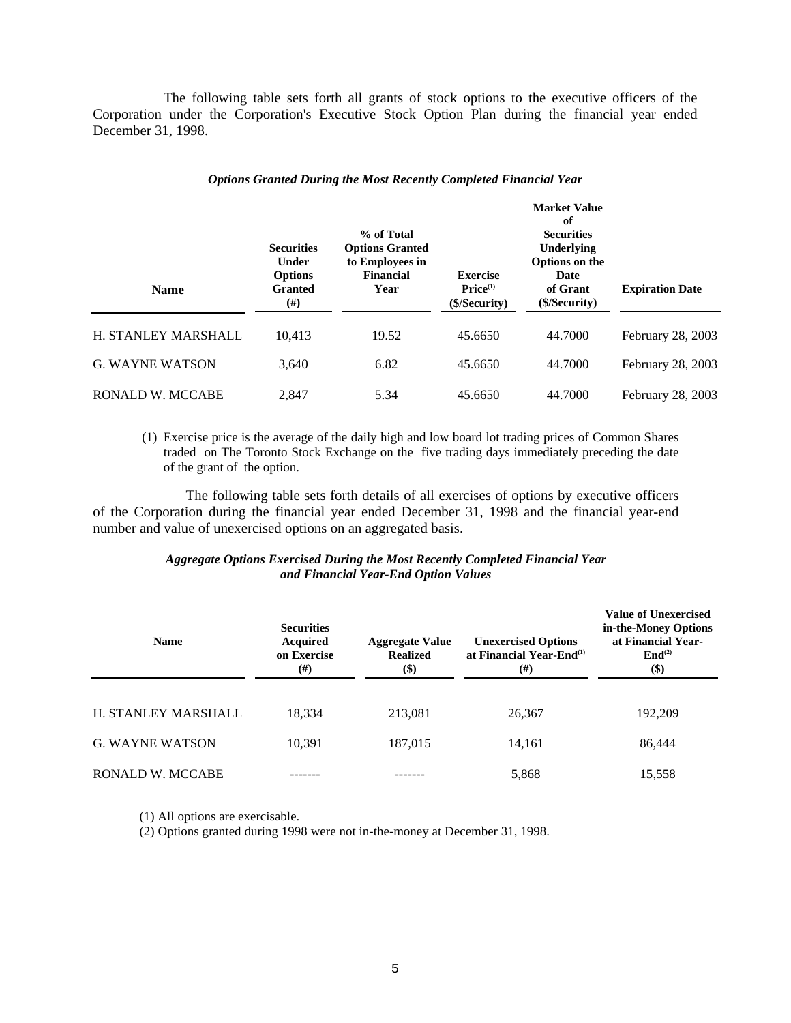The following table sets forth all grants of stock options to the executive officers of the Corporation under the Corporation's Executive Stock Option Plan during the financial year ended December 31, 1998.

| <b>Name</b>             | % of Total<br><b>Securities</b><br><b>Options Granted</b><br>to Employees in<br>Under<br><b>Financial</b><br><b>Options</b><br><b>Granted</b><br>Year<br>(#) |       | <b>Exercise</b><br>Price <sup>(1)</sup><br>(\$/Security) | <b>Market Value</b><br>of<br><b>Securities</b><br>Underlying<br>Options on the<br>Date<br>of Grant<br>(S/Security) | <b>Expiration Date</b> |  |
|-------------------------|--------------------------------------------------------------------------------------------------------------------------------------------------------------|-------|----------------------------------------------------------|--------------------------------------------------------------------------------------------------------------------|------------------------|--|
| H. STANLEY MARSHALL     | 10,413                                                                                                                                                       | 19.52 | 45.6650                                                  | 44.7000                                                                                                            | February 28, 2003      |  |
| <b>G. WAYNE WATSON</b>  | 3,640                                                                                                                                                        | 6.82  | 45.6650                                                  | 44.7000                                                                                                            | February 28, 2003      |  |
| <b>RONALD W. MCCABE</b> | 2.847                                                                                                                                                        | 5.34  | 45.6650                                                  | 44.7000                                                                                                            | February 28, 2003      |  |

#### *Options Granted During the Most Recently Completed Financial Year*

(1) Exercise price is the average of the daily high and low board lot trading prices of Common Shares traded on The Toronto Stock Exchange on the five trading days immediately preceding the date of the grant of the option.

 The following table sets forth details of all exercises of options by executive officers of the Corporation during the financial year ended December 31, 1998 and the financial year-end number and value of unexercised options on an aggregated basis.

## *Aggregate Options Exercised During the Most Recently Completed Financial Year and Financial Year-End Option Values*

| <b>Name</b>            | <b>Securities</b><br><b>Acquired</b><br>on Exercise<br>$(\#)$ | <b>Aggregate Value</b><br><b>Realized</b><br>\$) | <b>Unexercised Options</b><br>at Financial Year-End <sup>(1)</sup><br>(# ) | <b>Value of Unexercised</b><br>in-the-Money Options<br>at Financial Year-<br>$\mathbf{End}^{(2)}$<br>$\left( \text{\$}\right)$ |
|------------------------|---------------------------------------------------------------|--------------------------------------------------|----------------------------------------------------------------------------|--------------------------------------------------------------------------------------------------------------------------------|
| H. STANLEY MARSHALL    | 18.334                                                        | 213,081                                          | 26,367                                                                     | 192,209                                                                                                                        |
| <b>G. WAYNE WATSON</b> | 10.391                                                        | 187,015                                          | 14,161                                                                     | 86,444                                                                                                                         |
| RONALD W. MCCABE       |                                                               |                                                  | 5,868                                                                      | 15,558                                                                                                                         |

(1) All options are exercisable.

(2) Options granted during 1998 were not in-the-money at December 31, 1998.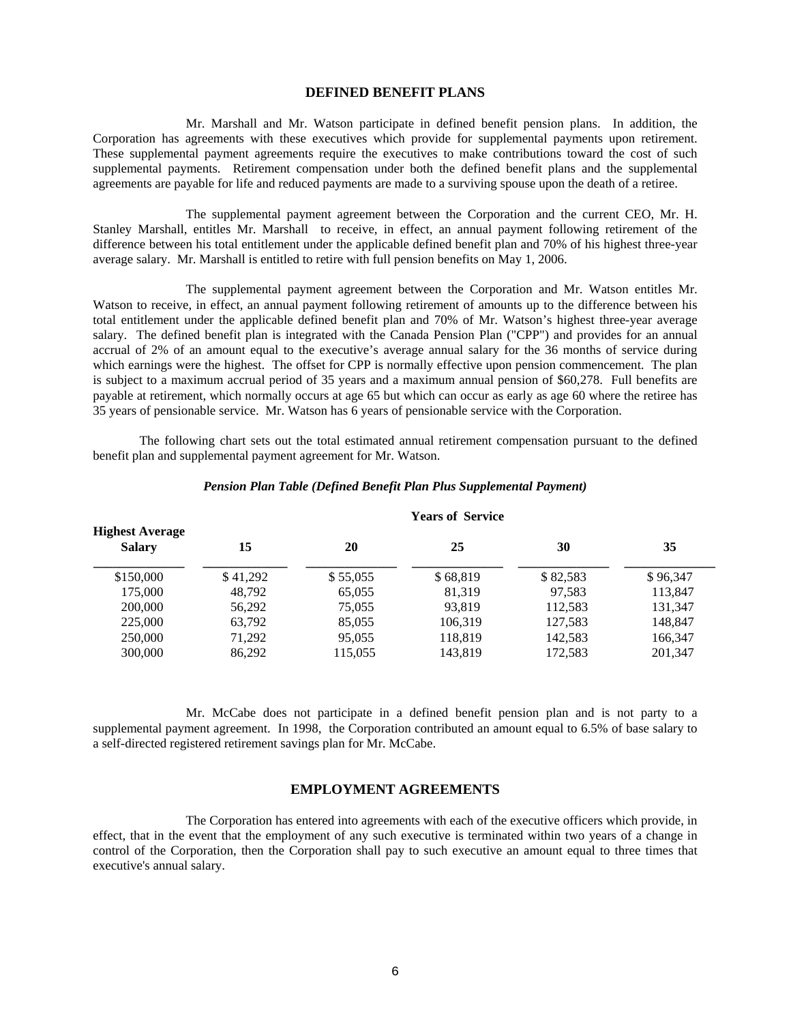#### **DEFINED BENEFIT PLANS**

 Mr. Marshall and Mr. Watson participate in defined benefit pension plans. In addition, the Corporation has agreements with these executives which provide for supplemental payments upon retirement. These supplemental payment agreements require the executives to make contributions toward the cost of such supplemental payments. Retirement compensation under both the defined benefit plans and the supplemental agreements are payable for life and reduced payments are made to a surviving spouse upon the death of a retiree.

 The supplemental payment agreement between the Corporation and the current CEO, Mr. H. Stanley Marshall, entitles Mr. Marshall to receive, in effect, an annual payment following retirement of the difference between his total entitlement under the applicable defined benefit plan and 70% of his highest three-year average salary. Mr. Marshall is entitled to retire with full pension benefits on May 1, 2006.

 The supplemental payment agreement between the Corporation and Mr. Watson entitles Mr. Watson to receive, in effect, an annual payment following retirement of amounts up to the difference between his total entitlement under the applicable defined benefit plan and 70% of Mr. Watson's highest three-year average salary. The defined benefit plan is integrated with the Canada Pension Plan ("CPP") and provides for an annual accrual of 2% of an amount equal to the executive's average annual salary for the 36 months of service during which earnings were the highest. The offset for CPP is normally effective upon pension commencement. The plan is subject to a maximum accrual period of 35 years and a maximum annual pension of \$60,278. Full benefits are payable at retirement, which normally occurs at age 65 but which can occur as early as age 60 where the retiree has 35 years of pensionable service. Mr. Watson has 6 years of pensionable service with the Corporation.

 The following chart sets out the total estimated annual retirement compensation pursuant to the defined benefit plan and supplemental payment agreement for Mr. Watson.

|                                         |          |          | $\mathbf{1}$ children in the state |          |          |
|-----------------------------------------|----------|----------|------------------------------------|----------|----------|
| <b>Highest Average</b><br><b>Salary</b> | 15       | 20       | 25                                 | 30       | 35       |
| \$150,000                               | \$41,292 | \$55,055 | \$68,819                           | \$82,583 | \$96,347 |
| 175,000                                 | 48,792   | 65,055   | 81,319                             | 97,583   | 113,847  |
| 200,000                                 | 56,292   | 75,055   | 93.819                             | 112.583  | 131.347  |
| 225,000                                 | 63,792   | 85,055   | 106,319                            | 127.583  | 148,847  |
| 250,000                                 | 71,292   | 95,055   | 118,819                            | 142.583  | 166,347  |
| 300,000                                 | 86,292   | 115,055  | 143,819                            | 172,583  | 201.347  |
|                                         |          |          |                                    |          |          |

## *Pension Plan Table (Defined Benefit Plan Plus Supplemental Payment)*

 **Years of Service** 

 Mr. McCabe does not participate in a defined benefit pension plan and is not party to a supplemental payment agreement. In 1998, the Corporation contributed an amount equal to 6.5% of base salary to a self-directed registered retirement savings plan for Mr. McCabe.

## **EMPLOYMENT AGREEMENTS**

 The Corporation has entered into agreements with each of the executive officers which provide, in effect, that in the event that the employment of any such executive is terminated within two years of a change in control of the Corporation, then the Corporation shall pay to such executive an amount equal to three times that executive's annual salary.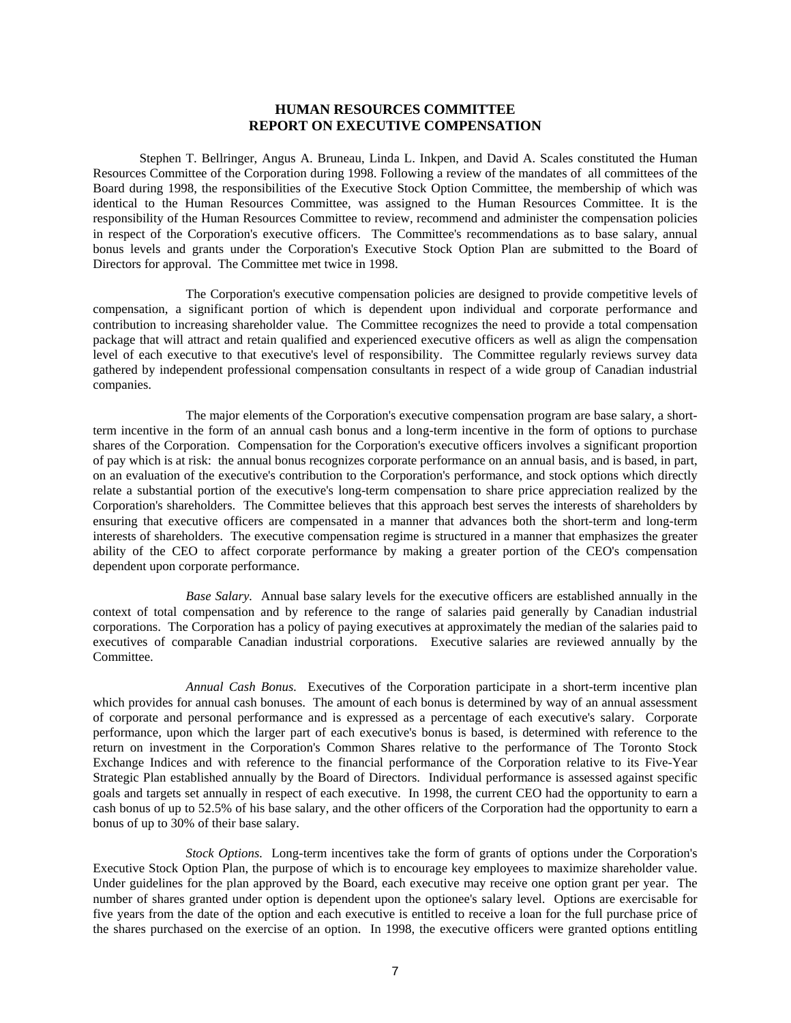## **HUMAN RESOURCES COMMITTEE REPORT ON EXECUTIVE COMPENSATION**

Stephen T. Bellringer, Angus A. Bruneau, Linda L. Inkpen, and David A. Scales constituted the Human Resources Committee of the Corporation during 1998. Following a review of the mandates of all committees of the Board during 1998, the responsibilities of the Executive Stock Option Committee, the membership of which was identical to the Human Resources Committee, was assigned to the Human Resources Committee. It is the responsibility of the Human Resources Committee to review, recommend and administer the compensation policies in respect of the Corporation's executive officers. The Committee's recommendations as to base salary, annual bonus levels and grants under the Corporation's Executive Stock Option Plan are submitted to the Board of Directors for approval. The Committee met twice in 1998.

 The Corporation's executive compensation policies are designed to provide competitive levels of compensation, a significant portion of which is dependent upon individual and corporate performance and contribution to increasing shareholder value. The Committee recognizes the need to provide a total compensation package that will attract and retain qualified and experienced executive officers as well as align the compensation level of each executive to that executive's level of responsibility. The Committee regularly reviews survey data gathered by independent professional compensation consultants in respect of a wide group of Canadian industrial companies.

 The major elements of the Corporation's executive compensation program are base salary, a shortterm incentive in the form of an annual cash bonus and a long-term incentive in the form of options to purchase shares of the Corporation. Compensation for the Corporation's executive officers involves a significant proportion of pay which is at risk: the annual bonus recognizes corporate performance on an annual basis, and is based, in part, on an evaluation of the executive's contribution to the Corporation's performance, and stock options which directly relate a substantial portion of the executive's long-term compensation to share price appreciation realized by the Corporation's shareholders. The Committee believes that this approach best serves the interests of shareholders by ensuring that executive officers are compensated in a manner that advances both the short-term and long-term interests of shareholders. The executive compensation regime is structured in a manner that emphasizes the greater ability of the CEO to affect corporate performance by making a greater portion of the CEO's compensation dependent upon corporate performance.

 *Base Salary.* Annual base salary levels for the executive officers are established annually in the context of total compensation and by reference to the range of salaries paid generally by Canadian industrial corporations. The Corporation has a policy of paying executives at approximately the median of the salaries paid to executives of comparable Canadian industrial corporations. Executive salaries are reviewed annually by the Committee.

 *Annual Cash Bonus.* Executives of the Corporation participate in a short-term incentive plan which provides for annual cash bonuses. The amount of each bonus is determined by way of an annual assessment of corporate and personal performance and is expressed as a percentage of each executive's salary. Corporate performance, upon which the larger part of each executive's bonus is based, is determined with reference to the return on investment in the Corporation's Common Shares relative to the performance of The Toronto Stock Exchange Indices and with reference to the financial performance of the Corporation relative to its Five-Year Strategic Plan established annually by the Board of Directors. Individual performance is assessed against specific goals and targets set annually in respect of each executive. In 1998, the current CEO had the opportunity to earn a cash bonus of up to 52.5% of his base salary, and the other officers of the Corporation had the opportunity to earn a bonus of up to 30% of their base salary.

 *Stock Options.* Long-term incentives take the form of grants of options under the Corporation's Executive Stock Option Plan, the purpose of which is to encourage key employees to maximize shareholder value. Under guidelines for the plan approved by the Board, each executive may receive one option grant per year. The number of shares granted under option is dependent upon the optionee's salary level. Options are exercisable for five years from the date of the option and each executive is entitled to receive a loan for the full purchase price of the shares purchased on the exercise of an option. In 1998, the executive officers were granted options entitling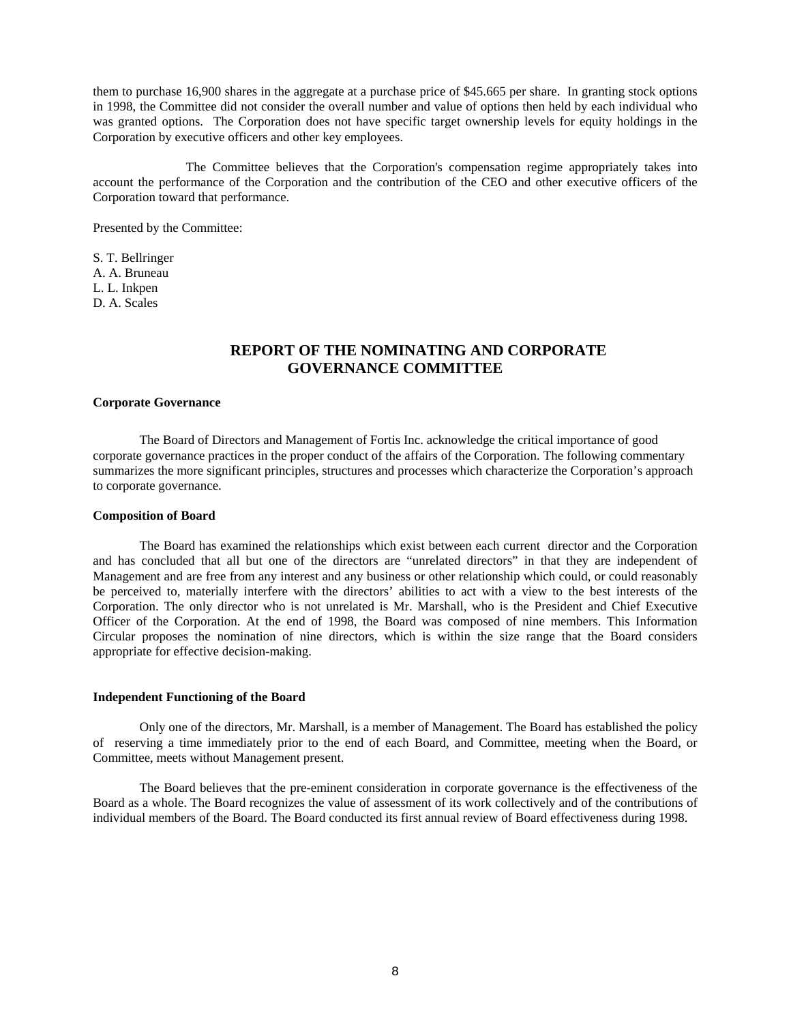them to purchase 16,900 shares in the aggregate at a purchase price of \$45.665 per share. In granting stock options in 1998, the Committee did not consider the overall number and value of options then held by each individual who was granted options. The Corporation does not have specific target ownership levels for equity holdings in the Corporation by executive officers and other key employees.

 The Committee believes that the Corporation's compensation regime appropriately takes into account the performance of the Corporation and the contribution of the CEO and other executive officers of the Corporation toward that performance.

Presented by the Committee:

S. T. Bellringer A. A. Bruneau L. L. Inkpen D. A. Scales

# **REPORT OF THE NOMINATING AND CORPORATE GOVERNANCE COMMITTEE**

#### **Corporate Governance**

The Board of Directors and Management of Fortis Inc. acknowledge the critical importance of good corporate governance practices in the proper conduct of the affairs of the Corporation. The following commentary summarizes the more significant principles, structures and processes which characterize the Corporation's approach to corporate governance.

#### **Composition of Board**

The Board has examined the relationships which exist between each current director and the Corporation and has concluded that all but one of the directors are "unrelated directors" in that they are independent of Management and are free from any interest and any business or other relationship which could, or could reasonably be perceived to, materially interfere with the directors' abilities to act with a view to the best interests of the Corporation. The only director who is not unrelated is Mr. Marshall, who is the President and Chief Executive Officer of the Corporation. At the end of 1998, the Board was composed of nine members. This Information Circular proposes the nomination of nine directors, which is within the size range that the Board considers appropriate for effective decision-making.

#### **Independent Functioning of the Board**

Only one of the directors, Mr. Marshall, is a member of Management. The Board has established the policy of reserving a time immediately prior to the end of each Board, and Committee, meeting when the Board, or Committee, meets without Management present.

The Board believes that the pre-eminent consideration in corporate governance is the effectiveness of the Board as a whole. The Board recognizes the value of assessment of its work collectively and of the contributions of individual members of the Board. The Board conducted its first annual review of Board effectiveness during 1998.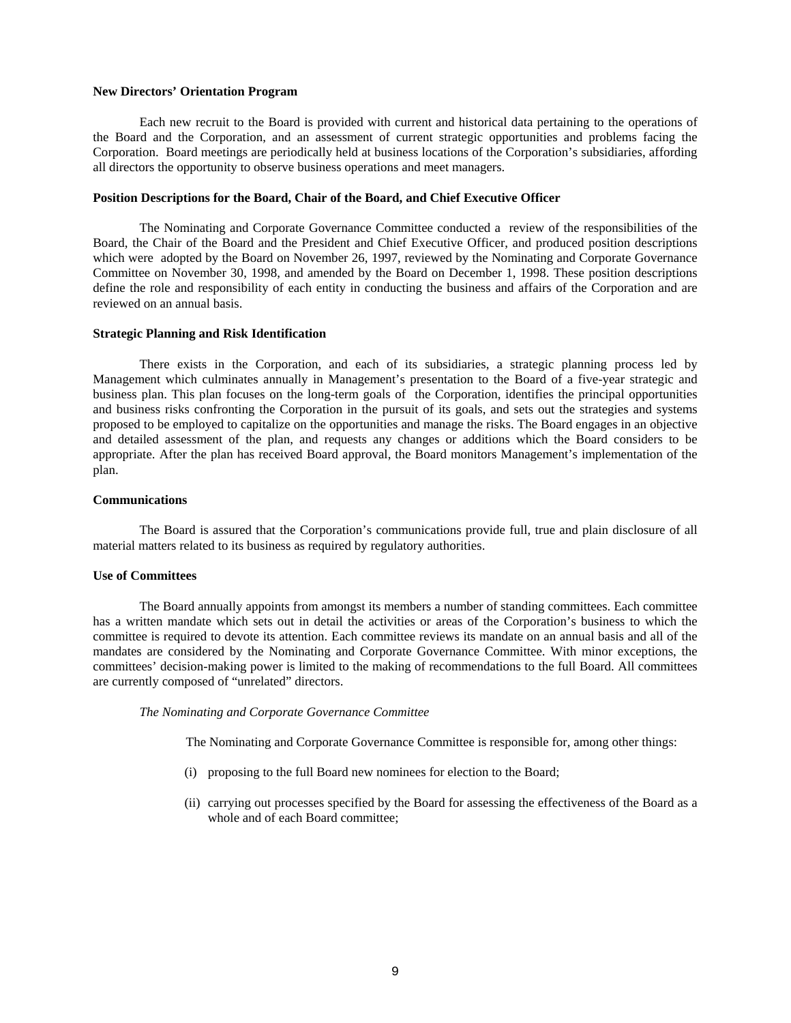#### **New Directors' Orientation Program**

Each new recruit to the Board is provided with current and historical data pertaining to the operations of the Board and the Corporation, and an assessment of current strategic opportunities and problems facing the Corporation. Board meetings are periodically held at business locations of the Corporation's subsidiaries, affording all directors the opportunity to observe business operations and meet managers.

#### **Position Descriptions for the Board, Chair of the Board, and Chief Executive Officer**

 The Nominating and Corporate Governance Committee conducted a review of the responsibilities of the Board, the Chair of the Board and the President and Chief Executive Officer, and produced position descriptions which were adopted by the Board on November 26, 1997, reviewed by the Nominating and Corporate Governance Committee on November 30, 1998, and amended by the Board on December 1, 1998. These position descriptions define the role and responsibility of each entity in conducting the business and affairs of the Corporation and are reviewed on an annual basis.

#### **Strategic Planning and Risk Identification**

There exists in the Corporation, and each of its subsidiaries, a strategic planning process led by Management which culminates annually in Management's presentation to the Board of a five-year strategic and business plan. This plan focuses on the long-term goals of the Corporation, identifies the principal opportunities and business risks confronting the Corporation in the pursuit of its goals, and sets out the strategies and systems proposed to be employed to capitalize on the opportunities and manage the risks. The Board engages in an objective and detailed assessment of the plan, and requests any changes or additions which the Board considers to be appropriate. After the plan has received Board approval, the Board monitors Management's implementation of the plan.

#### **Communications**

The Board is assured that the Corporation's communications provide full, true and plain disclosure of all material matters related to its business as required by regulatory authorities.

#### **Use of Committees**

The Board annually appoints from amongst its members a number of standing committees. Each committee has a written mandate which sets out in detail the activities or areas of the Corporation's business to which the committee is required to devote its attention. Each committee reviews its mandate on an annual basis and all of the mandates are considered by the Nominating and Corporate Governance Committee. With minor exceptions, the committees' decision-making power is limited to the making of recommendations to the full Board. All committees are currently composed of "unrelated" directors.

#### *The Nominating and Corporate Governance Committee*

The Nominating and Corporate Governance Committee is responsible for, among other things:

- (i) proposing to the full Board new nominees for election to the Board;
- (ii) carrying out processes specified by the Board for assessing the effectiveness of the Board as a whole and of each Board committee;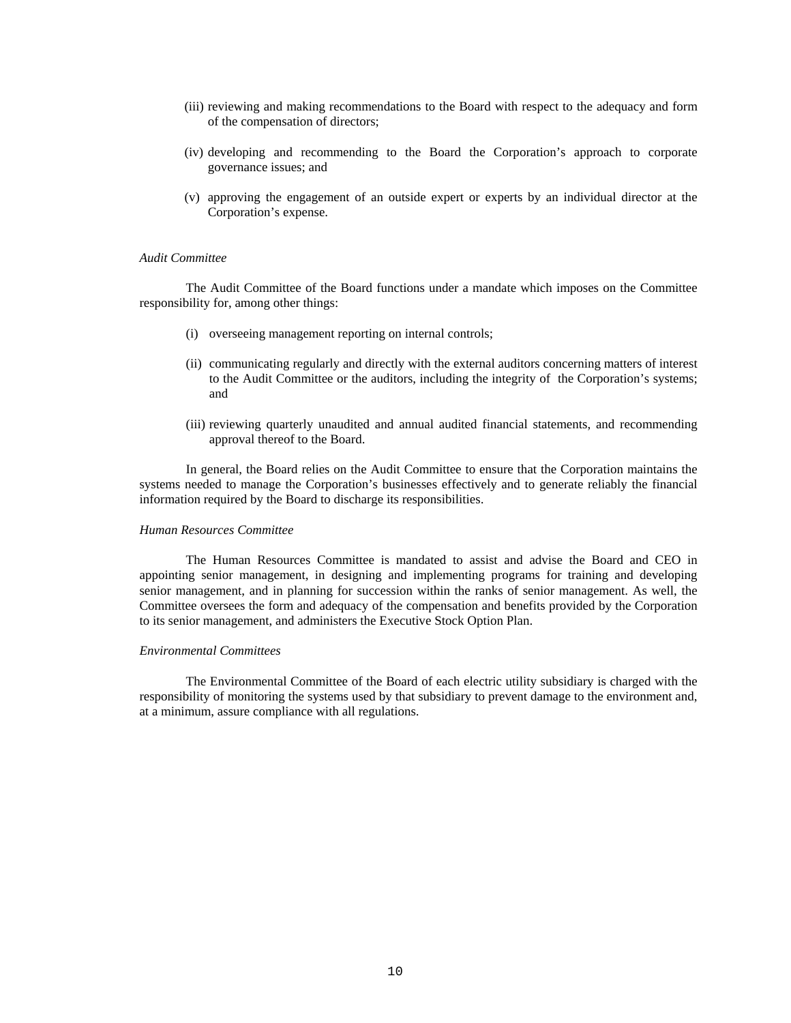- (iii) reviewing and making recommendations to the Board with respect to the adequacy and form of the compensation of directors;
- (iv) developing and recommending to the Board the Corporation's approach to corporate governance issues; and
- (v) approving the engagement of an outside expert or experts by an individual director at the Corporation's expense.

#### *Audit Committee*

The Audit Committee of the Board functions under a mandate which imposes on the Committee responsibility for, among other things:

- (i) overseeing management reporting on internal controls;
- (ii) communicating regularly and directly with the external auditors concerning matters of interest to the Audit Committee or the auditors, including the integrity of the Corporation's systems; and
- (iii) reviewing quarterly unaudited and annual audited financial statements, and recommending approval thereof to the Board.

In general, the Board relies on the Audit Committee to ensure that the Corporation maintains the systems needed to manage the Corporation's businesses effectively and to generate reliably the financial information required by the Board to discharge its responsibilities.

#### *Human Resources Committee*

The Human Resources Committee is mandated to assist and advise the Board and CEO in appointing senior management, in designing and implementing programs for training and developing senior management, and in planning for succession within the ranks of senior management. As well, the Committee oversees the form and adequacy of the compensation and benefits provided by the Corporation to its senior management, and administers the Executive Stock Option Plan.

#### *Environmental Committees*

The Environmental Committee of the Board of each electric utility subsidiary is charged with the responsibility of monitoring the systems used by that subsidiary to prevent damage to the environment and, at a minimum, assure compliance with all regulations.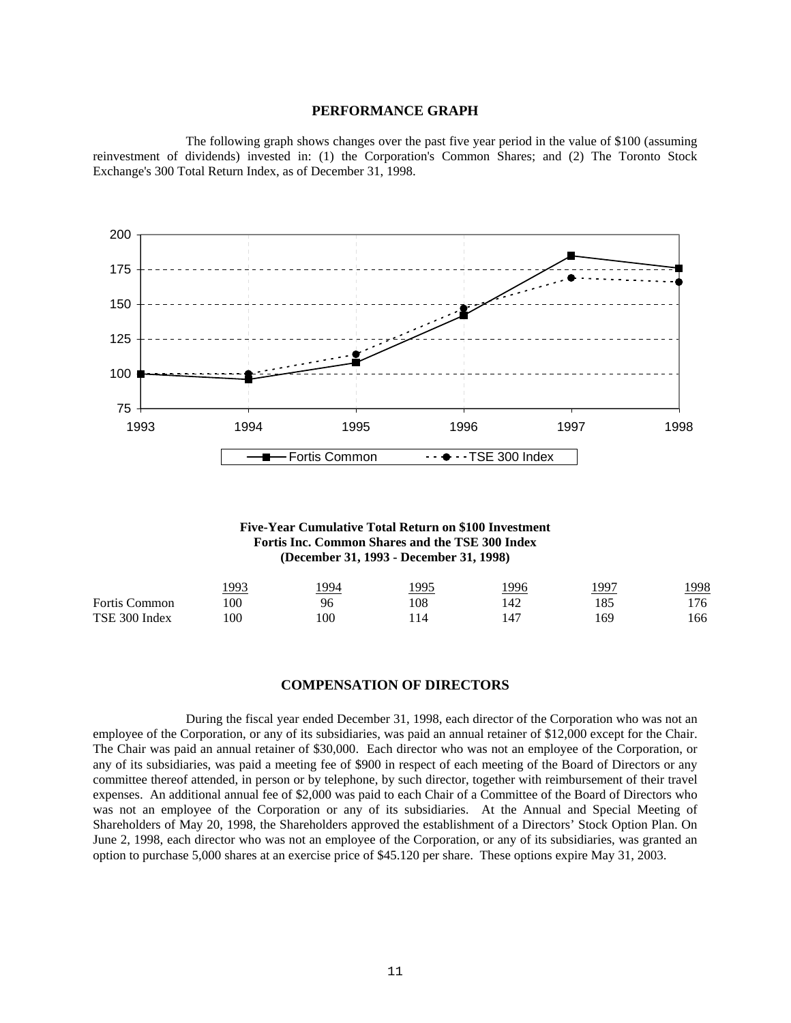#### **PERFORMANCE GRAPH**

 The following graph shows changes over the past five year period in the value of \$100 (assuming reinvestment of dividends) invested in: (1) the Corporation's Common Shares; and (2) The Toronto Stock Exchange's 300 Total Return Index, as of December 31, 1998.



**Five-Year Cumulative Total Return on \$100 Investment Fortis Inc. Common Shares and the TSE 300 Index (December 31, 1993 - December 31, 1998)**

|                      | .993 | 994 | 1995 | 1996 | 1997 | 1998 |
|----------------------|------|-----|------|------|------|------|
| <b>Fortis Common</b> | 100  | 96  | .08  | 42ء  | 185  | '76  |
| TSE 300 Index        | 00   | 100 | 14   | 147  | 169  | 166  |

#### **COMPENSATION OF DIRECTORS**

 During the fiscal year ended December 31, 1998, each director of the Corporation who was not an employee of the Corporation, or any of its subsidiaries, was paid an annual retainer of \$12,000 except for the Chair. The Chair was paid an annual retainer of \$30,000. Each director who was not an employee of the Corporation, or any of its subsidiaries, was paid a meeting fee of \$900 in respect of each meeting of the Board of Directors or any committee thereof attended, in person or by telephone, by such director, together with reimbursement of their travel expenses. An additional annual fee of \$2,000 was paid to each Chair of a Committee of the Board of Directors who was not an employee of the Corporation or any of its subsidiaries. At the Annual and Special Meeting of Shareholders of May 20, 1998, the Shareholders approved the establishment of a Directors' Stock Option Plan. On June 2, 1998, each director who was not an employee of the Corporation, or any of its subsidiaries, was granted an option to purchase 5,000 shares at an exercise price of \$45.120 per share. These options expire May 31, 2003.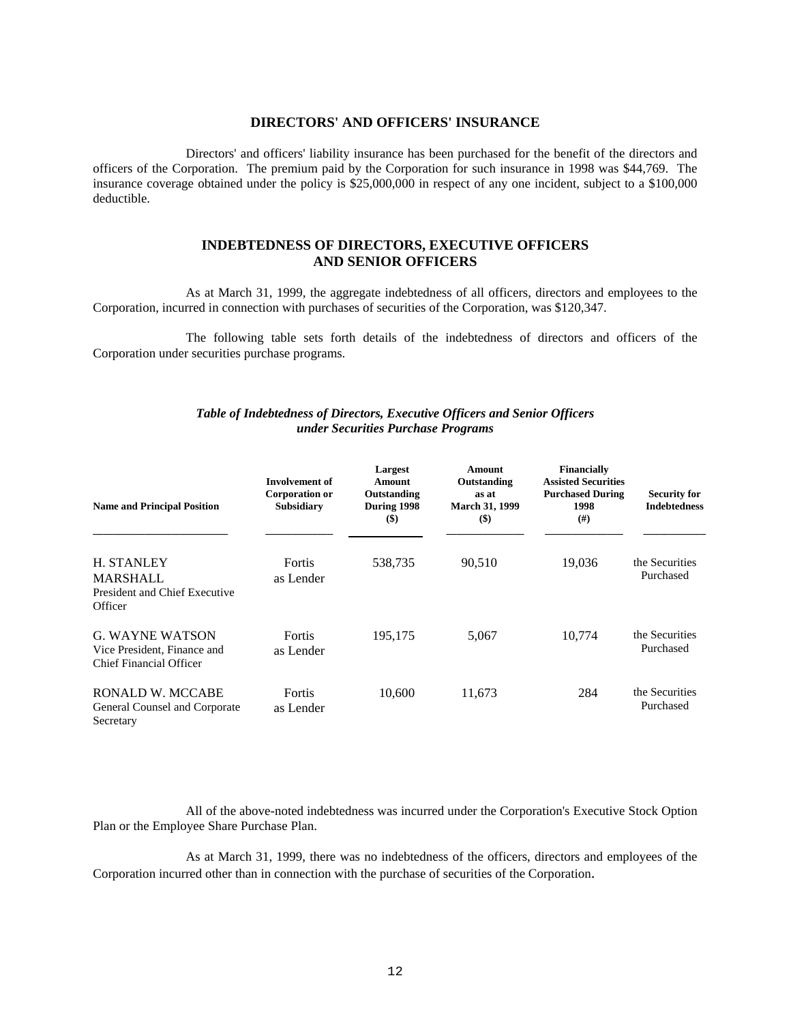#### **DIRECTORS' AND OFFICERS' INSURANCE**

 Directors' and officers' liability insurance has been purchased for the benefit of the directors and officers of the Corporation. The premium paid by the Corporation for such insurance in 1998 was \$44,769. The insurance coverage obtained under the policy is \$25,000,000 in respect of any one incident, subject to a \$100,000 deductible.

## **INDEBTEDNESS OF DIRECTORS, EXECUTIVE OFFICERS AND SENIOR OFFICERS**

 As at March 31, 1999, the aggregate indebtedness of all officers, directors and employees to the Corporation, incurred in connection with purchases of securities of the Corporation, was \$120,347.

 The following table sets forth details of the indebtedness of directors and officers of the Corporation under securities purchase programs.

## *Table of Indebtedness of Directors, Executive Officers and Senior Officers under Securities Purchase Programs*

| <b>Name and Principal Position</b>                                               | <b>Involvement of</b><br><b>Corporation or</b><br><b>Subsidiary</b> | Largest<br><b>Amount</b><br>Outstanding<br>During 1998<br>$($ \$) | Amount<br>Outstanding<br>as at<br><b>March 31, 1999</b><br>$($ \$) | <b>Financially</b><br><b>Assisted Securities</b><br><b>Purchased During</b><br>1998<br>(# ) | <b>Security for</b><br><b>Indebtedness</b> |
|----------------------------------------------------------------------------------|---------------------------------------------------------------------|-------------------------------------------------------------------|--------------------------------------------------------------------|---------------------------------------------------------------------------------------------|--------------------------------------------|
| H. STANLEY<br><b>MARSHALL</b><br>President and Chief Executive<br>Officer        | Fortis<br>as Lender                                                 | 538,735                                                           | 90,510                                                             | 19.036                                                                                      | the Securities<br>Purchased                |
| <b>G. WAYNE WATSON</b><br>Vice President, Finance and<br>Chief Financial Officer | <b>Fortis</b><br>as Lender                                          | 195,175                                                           | 5,067                                                              | 10,774                                                                                      | the Securities<br>Purchased                |
| RONALD W. MCCABE<br>General Counsel and Corporate<br>Secretary                   | Fortis<br>as Lender                                                 | 10,600                                                            | 11,673                                                             | 284                                                                                         | the Securities<br>Purchased                |

 All of the above-noted indebtedness was incurred under the Corporation's Executive Stock Option Plan or the Employee Share Purchase Plan.

 As at March 31, 1999, there was no indebtedness of the officers, directors and employees of the Corporation incurred other than in connection with the purchase of securities of the Corporation.